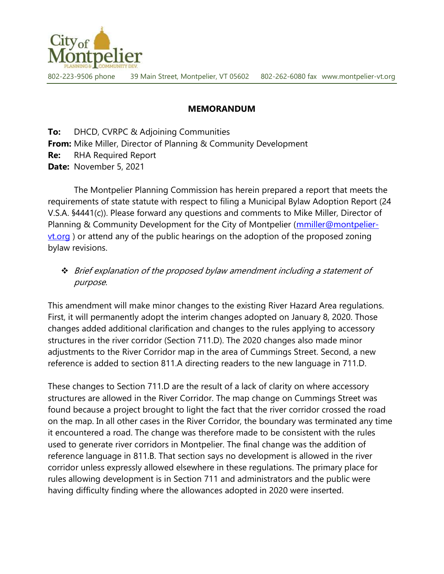

802-223-9506 phone 39 Main Street, Montpelier, VT 05602 802-262-6080 fax www.montpelier-vt.org

## MEMORANDUM

**To:** DHCD, CVRPC & Adjoining Communities From: Mike Miller, Director of Planning & Community Development Re: RHA Required Report Date: November 5, 2021

 The Montpelier Planning Commission has herein prepared a report that meets the requirements of state statute with respect to filing a Municipal Bylaw Adoption Report (24 V.S.A. §4441(c)). Please forward any questions and comments to Mike Miller, Director of Planning & Community Development for the City of Montpelier (*mmiller@montpelier-*<u>vt.org</u>) or attend any of the public hearings on the adoption of the proposed zoning bylaw revisions.

 Brief explanation of the proposed bylaw amendment including a statement of purpose.

This amendment will make minor changes to the existing River Hazard Area regulations. First, it will permanently adopt the interim changes adopted on January 8, 2020. Those changes added additional clarification and changes to the rules applying to accessory structures in the river corridor (Section 711.D). The 2020 changes also made minor adjustments to the River Corridor map in the area of Cummings Street. Second, a new reference is added to section 811.A directing readers to the new language in 711.D.

These changes to Section 711.D are the result of a lack of clarity on where accessory structures are allowed in the River Corridor. The map change on Cummings Street was found because a project brought to light the fact that the river corridor crossed the road on the map. In all other cases in the River Corridor, the boundary was terminated any time it encountered a road. The change was therefore made to be consistent with the rules used to generate river corridors in Montpelier. The final change was the addition of reference language in 811.B. That section says no development is allowed in the river corridor unless expressly allowed elsewhere in these regulations. The primary place for rules allowing development is in Section 711 and administrators and the public were having difficulty finding where the allowances adopted in 2020 were inserted.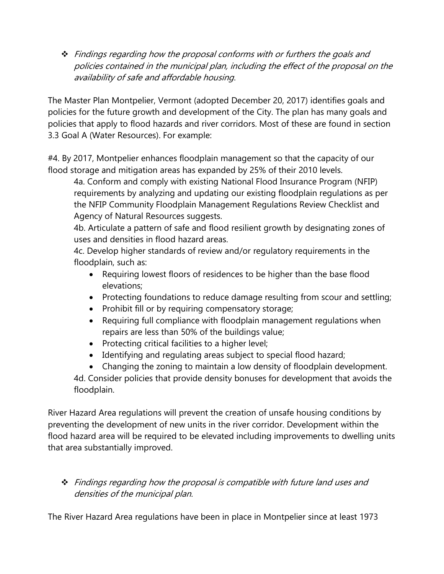$\div$  Findings regarding how the proposal conforms with or furthers the goals and policies contained in the municipal plan, including the effect of the proposal on the availability of safe and affordable housing.

The Master Plan Montpelier, Vermont (adopted December 20, 2017) identifies goals and policies for the future growth and development of the City. The plan has many goals and policies that apply to flood hazards and river corridors. Most of these are found in section 3.3 Goal A (Water Resources). For example:

#4. By 2017, Montpelier enhances floodplain management so that the capacity of our flood storage and mitigation areas has expanded by 25% of their 2010 levels.

4a. Conform and comply with existing National Flood Insurance Program (NFIP) requirements by analyzing and updating our existing floodplain regulations as per the NFIP Community Floodplain Management Regulations Review Checklist and Agency of Natural Resources suggests.

4b. Articulate a pattern of safe and flood resilient growth by designating zones of uses and densities in flood hazard areas.

4c. Develop higher standards of review and/or regulatory requirements in the floodplain, such as:

- Requiring lowest floors of residences to be higher than the base flood elevations;
- Protecting foundations to reduce damage resulting from scour and settling;
- Prohibit fill or by requiring compensatory storage;
- Requiring full compliance with floodplain management regulations when repairs are less than 50% of the buildings value;
- Protecting critical facilities to a higher level;
- Identifying and regulating areas subject to special flood hazard;
- Changing the zoning to maintain a low density of floodplain development.

4d. Consider policies that provide density bonuses for development that avoids the floodplain.

River Hazard Area regulations will prevent the creation of unsafe housing conditions by preventing the development of new units in the river corridor. Development within the flood hazard area will be required to be elevated including improvements to dwelling units that area substantially improved.

## \* Findings regarding how the proposal is compatible with future land uses and densities of the municipal plan.

The River Hazard Area regulations have been in place in Montpelier since at least 1973